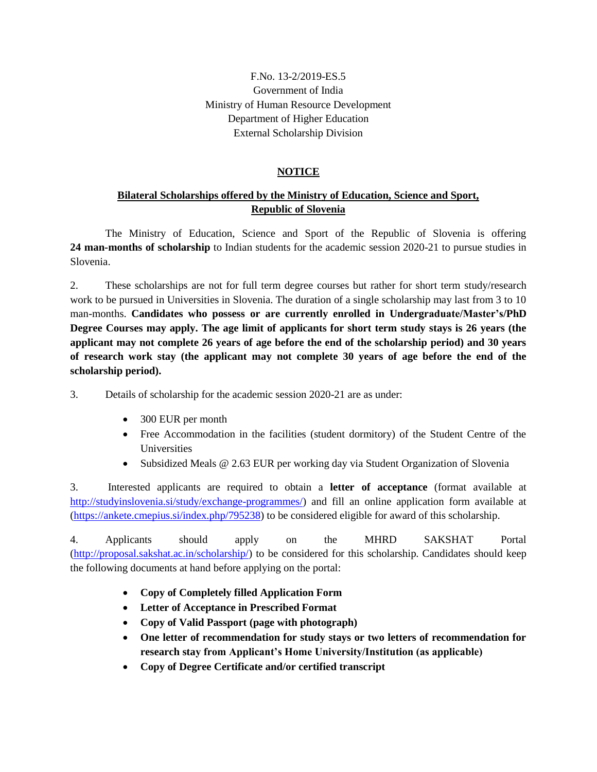## F.No. 13-2/2019-ES.5 Government of India Ministry of Human Resource Development Department of Higher Education External Scholarship Division

## **NOTICE**

## **Bilateral Scholarships offered by the Ministry of Education, Science and Sport, Republic of Slovenia**

The Ministry of Education, Science and Sport of the Republic of Slovenia is offering **24 man-months of scholarship** to Indian students for the academic session 2020-21 to pursue studies in Slovenia.

2. These scholarships are not for full term degree courses but rather for short term study/research work to be pursued in Universities in Slovenia. The duration of a single scholarship may last from 3 to 10 man-months. **Candidates who possess or are currently enrolled in Undergraduate/Master's/PhD Degree Courses may apply. The age limit of applicants for short term study stays is 26 years (the applicant may not complete 26 years of age before the end of the scholarship period) and 30 years of research work stay (the applicant may not complete 30 years of age before the end of the scholarship period).**

3. Details of scholarship for the academic session 2020-21 are as under:

- 300 EUR per month
- Free Accommodation in the facilities (student dormitory) of the Student Centre of the Universities
- Subsidized Meals @ 2.63 EUR per working day via Student Organization of Slovenia

3. Interested applicants are required to obtain a **letter of acceptance** (format available at [http://studyinslovenia.si/study/exchange-programmes/\)](http://studyinslovenia.si/study/exchange-programmes/) and fill an online application form available at [\(https://ankete.cmepius.si/index.php/795238\)](https://ankete.cmepius.si/index.php/795238) to be considered eligible for award of this scholarship.

4. Applicants should apply on the MHRD SAKSHAT Portal [\(http://proposal.sakshat.ac.in/scholarship/\)](http://proposal.sakshat.ac.in/scholarship/) to be considered for this scholarship. Candidates should keep the following documents at hand before applying on the portal:

- **Copy of Completely filled Application Form**
- **Letter of Acceptance in Prescribed Format**
- **Copy of Valid Passport (page with photograph)**
- **One letter of recommendation for study stays or two letters of recommendation for research stay from Applicant's Home University/Institution (as applicable)**
- **Copy of Degree Certificate and/or certified transcript**